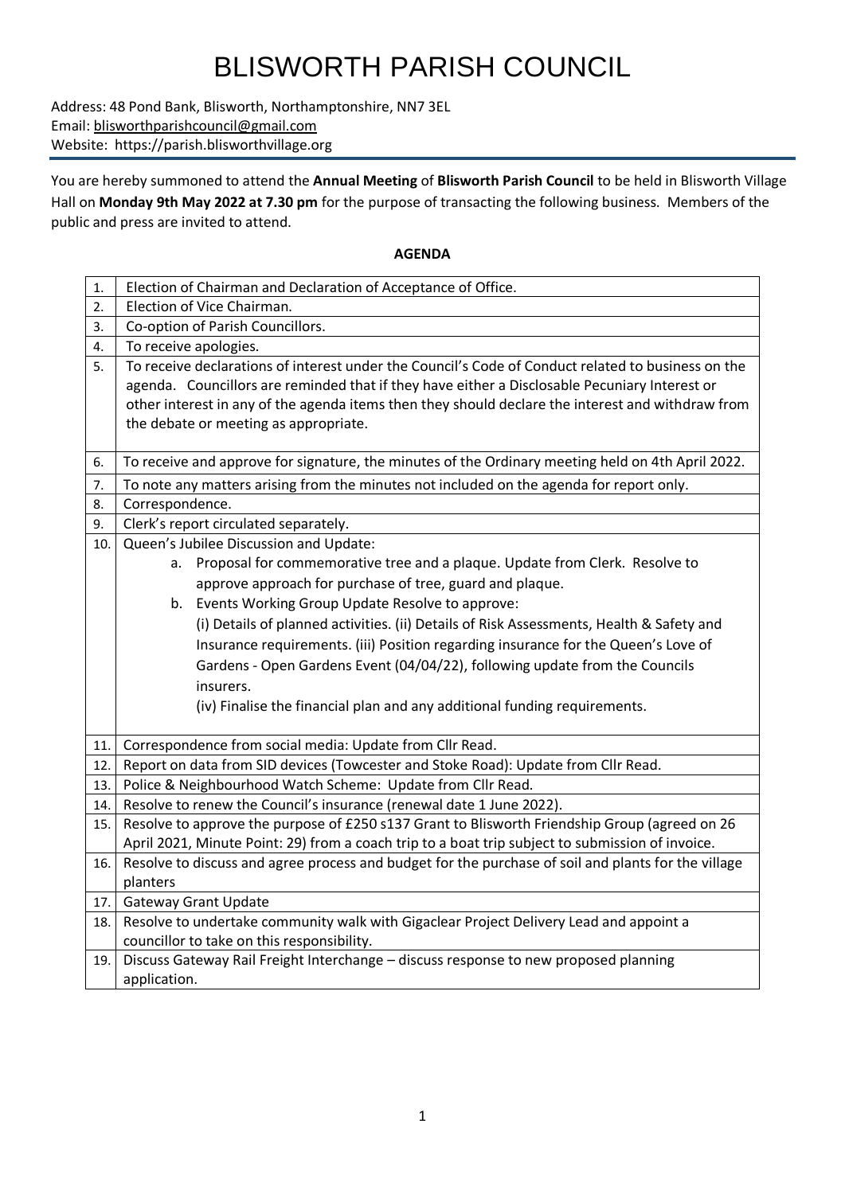## BLISWORTH PARISH COUNCIL

Address: 48 Pond Bank, Blisworth, Northamptonshire, NN7 3EL Email: [blisworthparishcouncil@gmail.com](mailto:blisworthparishcouncil@gmail.com) Website: https://parish.blisworthvillage.org

You are hereby summoned to attend the **Annual Meeting** of **Blisworth Parish Council** to be held in Blisworth Village Hall on **Monday 9th May 2022 at 7.30 pm** for the purpose of transacting the following business. Members of the public and press are invited to attend.

## **AGENDA**

| 1.  | Election of Chairman and Declaration of Acceptance of Office.                                                                                                                                                                                                                                                                                     |  |  |  |
|-----|---------------------------------------------------------------------------------------------------------------------------------------------------------------------------------------------------------------------------------------------------------------------------------------------------------------------------------------------------|--|--|--|
| 2.  | Election of Vice Chairman.                                                                                                                                                                                                                                                                                                                        |  |  |  |
| 3.  | Co-option of Parish Councillors.                                                                                                                                                                                                                                                                                                                  |  |  |  |
| 4.  | To receive apologies.                                                                                                                                                                                                                                                                                                                             |  |  |  |
| 5.  | To receive declarations of interest under the Council's Code of Conduct related to business on the<br>agenda. Councillors are reminded that if they have either a Disclosable Pecuniary Interest or<br>other interest in any of the agenda items then they should declare the interest and withdraw from<br>the debate or meeting as appropriate. |  |  |  |
| 6.  | To receive and approve for signature, the minutes of the Ordinary meeting held on 4th April 2022.                                                                                                                                                                                                                                                 |  |  |  |
| 7.  | To note any matters arising from the minutes not included on the agenda for report only.                                                                                                                                                                                                                                                          |  |  |  |
| 8.  | Correspondence.                                                                                                                                                                                                                                                                                                                                   |  |  |  |
| 9.  | Clerk's report circulated separately.                                                                                                                                                                                                                                                                                                             |  |  |  |
| 10. | Queen's Jubilee Discussion and Update:                                                                                                                                                                                                                                                                                                            |  |  |  |
|     | Proposal for commemorative tree and a plaque. Update from Clerk. Resolve to<br>а.                                                                                                                                                                                                                                                                 |  |  |  |
|     | approve approach for purchase of tree, guard and plaque.                                                                                                                                                                                                                                                                                          |  |  |  |
|     | b. Events Working Group Update Resolve to approve:                                                                                                                                                                                                                                                                                                |  |  |  |
|     | (i) Details of planned activities. (ii) Details of Risk Assessments, Health & Safety and                                                                                                                                                                                                                                                          |  |  |  |
|     | Insurance requirements. (iii) Position regarding insurance for the Queen's Love of                                                                                                                                                                                                                                                                |  |  |  |
|     | Gardens - Open Gardens Event (04/04/22), following update from the Councils                                                                                                                                                                                                                                                                       |  |  |  |
|     | insurers.                                                                                                                                                                                                                                                                                                                                         |  |  |  |
|     | (iv) Finalise the financial plan and any additional funding requirements.                                                                                                                                                                                                                                                                         |  |  |  |
| 11. | Correspondence from social media: Update from Cllr Read.                                                                                                                                                                                                                                                                                          |  |  |  |
| 12. | Report on data from SID devices (Towcester and Stoke Road): Update from Cllr Read.                                                                                                                                                                                                                                                                |  |  |  |
| 13. | Police & Neighbourhood Watch Scheme: Update from Cllr Read.                                                                                                                                                                                                                                                                                       |  |  |  |
| 14. | Resolve to renew the Council's insurance (renewal date 1 June 2022).                                                                                                                                                                                                                                                                              |  |  |  |
| 15. | Resolve to approve the purpose of £250 s137 Grant to Blisworth Friendship Group (agreed on 26                                                                                                                                                                                                                                                     |  |  |  |
|     | April 2021, Minute Point: 29) from a coach trip to a boat trip subject to submission of invoice.                                                                                                                                                                                                                                                  |  |  |  |
| 16. | Resolve to discuss and agree process and budget for the purchase of soil and plants for the village                                                                                                                                                                                                                                               |  |  |  |
|     | planters                                                                                                                                                                                                                                                                                                                                          |  |  |  |
| 17. | <b>Gateway Grant Update</b>                                                                                                                                                                                                                                                                                                                       |  |  |  |
| 18. | Resolve to undertake community walk with Gigaclear Project Delivery Lead and appoint a                                                                                                                                                                                                                                                            |  |  |  |
|     | councillor to take on this responsibility.                                                                                                                                                                                                                                                                                                        |  |  |  |
| 19. | Discuss Gateway Rail Freight Interchange - discuss response to new proposed planning                                                                                                                                                                                                                                                              |  |  |  |
|     | application.                                                                                                                                                                                                                                                                                                                                      |  |  |  |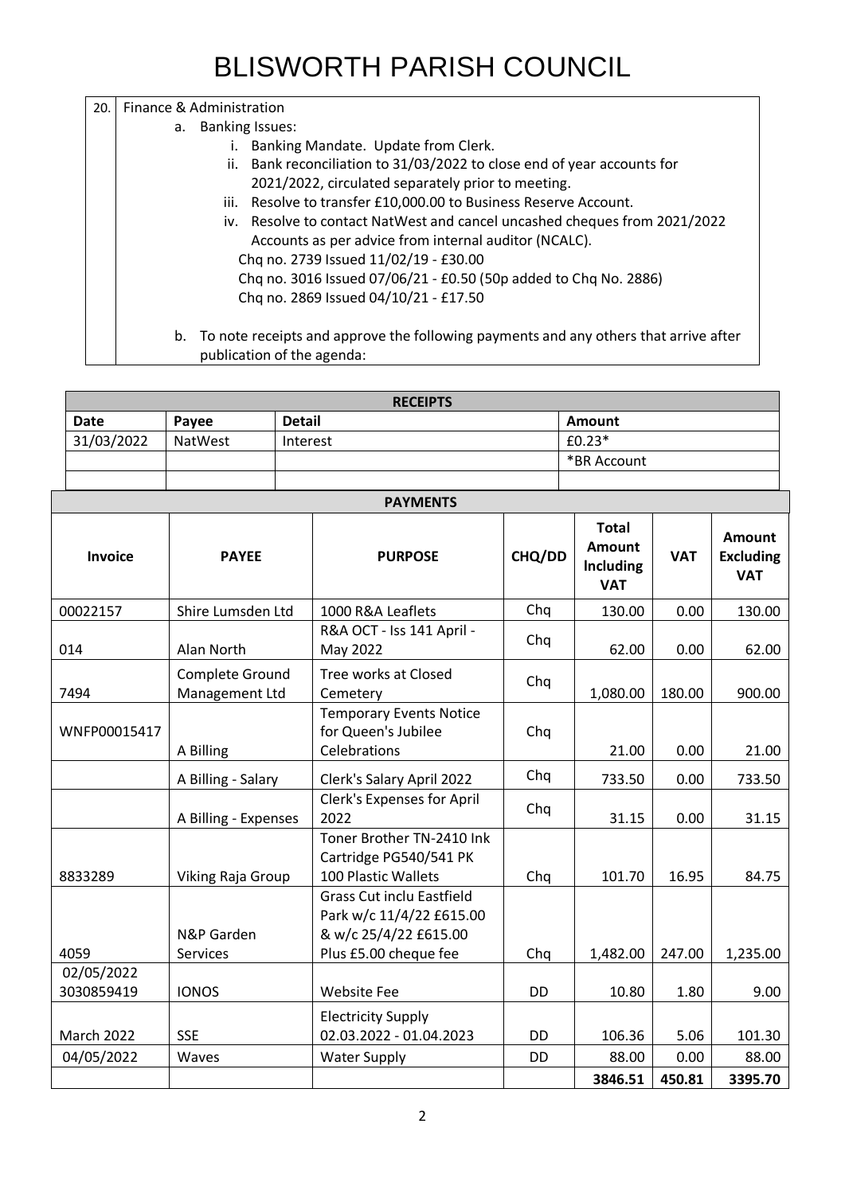## BLISWORTH PARISH COUNCIL

| 20. | Finance & Administration                                                                                              |  |  |  |
|-----|-----------------------------------------------------------------------------------------------------------------------|--|--|--|
|     | <b>Banking Issues:</b><br>а.                                                                                          |  |  |  |
|     | Banking Mandate. Update from Clerk.<br>İ.                                                                             |  |  |  |
|     | Bank reconciliation to 31/03/2022 to close end of year accounts for<br>ii.                                            |  |  |  |
|     | 2021/2022, circulated separately prior to meeting.                                                                    |  |  |  |
|     | Resolve to transfer £10,000.00 to Business Reserve Account.<br>iii.                                                   |  |  |  |
|     | iv. Resolve to contact NatWest and cancel uncashed cheques from 2021/2022                                             |  |  |  |
|     | Accounts as per advice from internal auditor (NCALC).                                                                 |  |  |  |
|     | Chq no. 2739 Issued 11/02/19 - £30.00                                                                                 |  |  |  |
|     | Chq no. 3016 Issued 07/06/21 - £0.50 (50p added to Chq No. 2886)                                                      |  |  |  |
|     | Chq no. 2869 Issued 04/10/21 - £17.50                                                                                 |  |  |  |
|     | b. To note receipts and approve the following payments and any others that arrive after<br>publication of the agenda: |  |  |  |

| <b>RECEIPTS</b> |         |               |             |
|-----------------|---------|---------------|-------------|
| Date            | Pavee   | <b>Detail</b> | Amount      |
| 31/03/2022      | NatWest | Interest      | $£0.23*$    |
|                 |         |               | *BR Account |
|                 |         |               |             |

| <b>PAYMENTS</b> |                                   |                                                                                                                |           |                                                   |            |                                                 |
|-----------------|-----------------------------------|----------------------------------------------------------------------------------------------------------------|-----------|---------------------------------------------------|------------|-------------------------------------------------|
| Invoice         | <b>PAYEE</b>                      | <b>PURPOSE</b>                                                                                                 | CHQ/DD    | <b>Total</b><br>Amount<br>Including<br><b>VAT</b> | <b>VAT</b> | <b>Amount</b><br><b>Excluding</b><br><b>VAT</b> |
| 00022157        | Shire Lumsden Ltd                 | 1000 R&A Leaflets                                                                                              | Chq       | 130.00                                            | 0.00       | 130.00                                          |
| 014             | Alan North                        | R&A OCT - Iss 141 April -<br>May 2022                                                                          | Chq       | 62.00                                             | 0.00       | 62.00                                           |
| 7494            | Complete Ground<br>Management Ltd | Tree works at Closed<br>Cemetery                                                                               | Chq       | 1,080.00                                          | 180.00     | 900.00                                          |
| WNFP00015417    | A Billing                         | <b>Temporary Events Notice</b><br>for Queen's Jubilee<br>Celebrations                                          | Chq       | 21.00                                             | 0.00       | 21.00                                           |
|                 | A Billing - Salary                | Clerk's Salary April 2022                                                                                      | Chq       | 733.50                                            | 0.00       | 733.50                                          |
|                 | A Billing - Expenses              | <b>Clerk's Expenses for April</b><br>2022                                                                      | Chq       | 31.15                                             | 0.00       | 31.15                                           |
| 8833289         | <b>Viking Raja Group</b>          | Toner Brother TN-2410 Ink<br>Cartridge PG540/541 PK<br>100 Plastic Wallets                                     | Chq       | 101.70                                            | 16.95      | 84.75                                           |
| 4059            | N&P Garden<br>Services            | <b>Grass Cut inclu Eastfield</b><br>Park w/c 11/4/22 £615.00<br>& w/c 25/4/22 £615.00<br>Plus £5.00 cheque fee | Chq       | 1,482.00                                          | 247.00     | 1,235.00                                        |
| 02/05/2022      |                                   |                                                                                                                |           |                                                   |            |                                                 |
| 3030859419      | <b>IONOS</b>                      | <b>Website Fee</b>                                                                                             | <b>DD</b> | 10.80                                             | 1.80       | 9.00                                            |
| March 2022      | <b>SSE</b>                        | <b>Electricity Supply</b><br>02.03.2022 - 01.04.2023                                                           | <b>DD</b> | 106.36                                            | 5.06       | 101.30                                          |
| 04/05/2022      | Waves                             | <b>Water Supply</b>                                                                                            | <b>DD</b> | 88.00                                             | 0.00       | 88.00                                           |
|                 |                                   |                                                                                                                |           | 3846.51                                           | 450.81     | 3395.70                                         |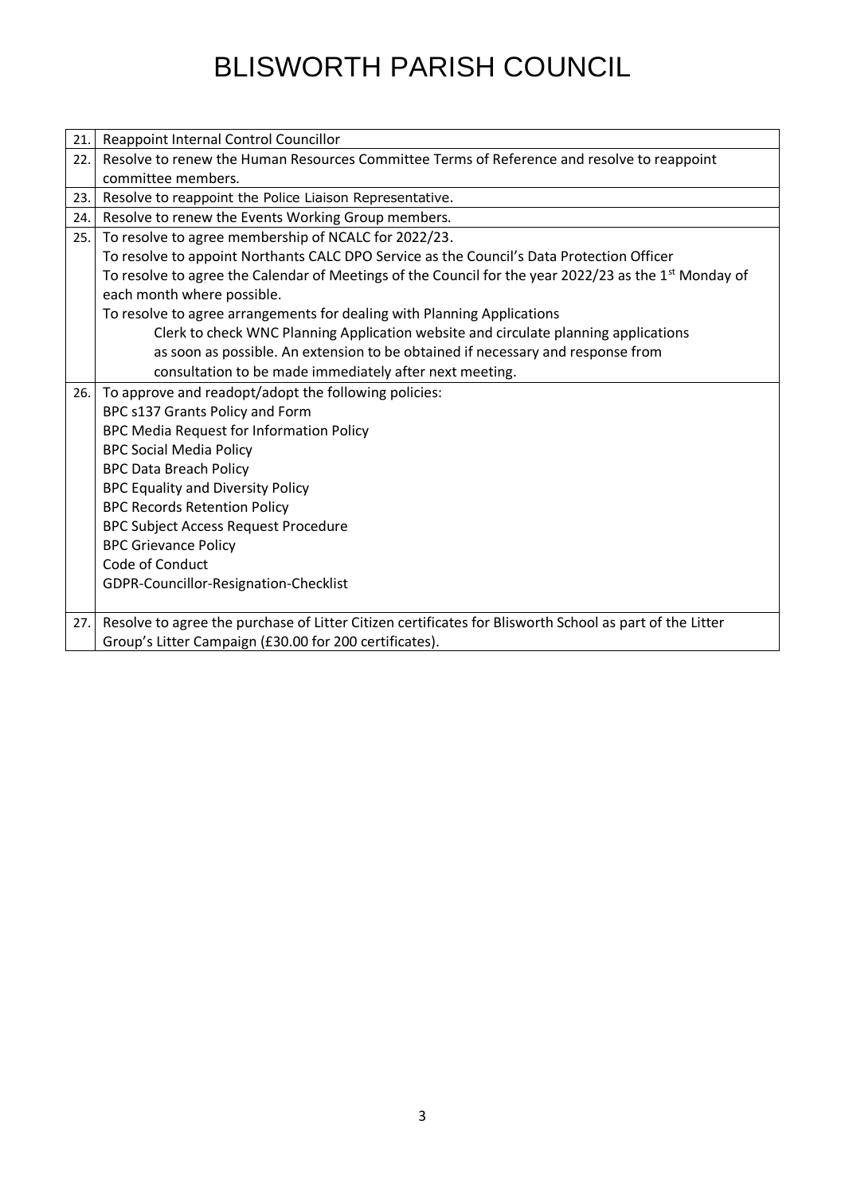## BLISWORTH PARISH COUNCIL

| Resolve to renew the Human Resources Committee Terms of Reference and resolve to reappoint<br>22.<br>committee members.<br>Resolve to reappoint the Police Liaison Representative.<br>23.<br>Resolve to renew the Events Working Group members.<br>24.<br>To resolve to agree membership of NCALC for 2022/23.<br>25.<br>To resolve to appoint Northants CALC DPO Service as the Council's Data Protection Officer<br>To resolve to agree the Calendar of Meetings of the Council for the year 2022/23 as the 1 <sup>st</sup> Monday of<br>each month where possible.<br>To resolve to agree arrangements for dealing with Planning Applications<br>Clerk to check WNC Planning Application website and circulate planning applications<br>as soon as possible. An extension to be obtained if necessary and response from<br>consultation to be made immediately after next meeting.<br>To approve and readopt/adopt the following policies:<br>26. |  |
|------------------------------------------------------------------------------------------------------------------------------------------------------------------------------------------------------------------------------------------------------------------------------------------------------------------------------------------------------------------------------------------------------------------------------------------------------------------------------------------------------------------------------------------------------------------------------------------------------------------------------------------------------------------------------------------------------------------------------------------------------------------------------------------------------------------------------------------------------------------------------------------------------------------------------------------------------|--|
|                                                                                                                                                                                                                                                                                                                                                                                                                                                                                                                                                                                                                                                                                                                                                                                                                                                                                                                                                      |  |
|                                                                                                                                                                                                                                                                                                                                                                                                                                                                                                                                                                                                                                                                                                                                                                                                                                                                                                                                                      |  |
|                                                                                                                                                                                                                                                                                                                                                                                                                                                                                                                                                                                                                                                                                                                                                                                                                                                                                                                                                      |  |
|                                                                                                                                                                                                                                                                                                                                                                                                                                                                                                                                                                                                                                                                                                                                                                                                                                                                                                                                                      |  |
|                                                                                                                                                                                                                                                                                                                                                                                                                                                                                                                                                                                                                                                                                                                                                                                                                                                                                                                                                      |  |
|                                                                                                                                                                                                                                                                                                                                                                                                                                                                                                                                                                                                                                                                                                                                                                                                                                                                                                                                                      |  |
|                                                                                                                                                                                                                                                                                                                                                                                                                                                                                                                                                                                                                                                                                                                                                                                                                                                                                                                                                      |  |
|                                                                                                                                                                                                                                                                                                                                                                                                                                                                                                                                                                                                                                                                                                                                                                                                                                                                                                                                                      |  |
|                                                                                                                                                                                                                                                                                                                                                                                                                                                                                                                                                                                                                                                                                                                                                                                                                                                                                                                                                      |  |
|                                                                                                                                                                                                                                                                                                                                                                                                                                                                                                                                                                                                                                                                                                                                                                                                                                                                                                                                                      |  |
|                                                                                                                                                                                                                                                                                                                                                                                                                                                                                                                                                                                                                                                                                                                                                                                                                                                                                                                                                      |  |
|                                                                                                                                                                                                                                                                                                                                                                                                                                                                                                                                                                                                                                                                                                                                                                                                                                                                                                                                                      |  |
|                                                                                                                                                                                                                                                                                                                                                                                                                                                                                                                                                                                                                                                                                                                                                                                                                                                                                                                                                      |  |
| BPC s137 Grants Policy and Form                                                                                                                                                                                                                                                                                                                                                                                                                                                                                                                                                                                                                                                                                                                                                                                                                                                                                                                      |  |
| BPC Media Request for Information Policy                                                                                                                                                                                                                                                                                                                                                                                                                                                                                                                                                                                                                                                                                                                                                                                                                                                                                                             |  |
| <b>BPC Social Media Policy</b>                                                                                                                                                                                                                                                                                                                                                                                                                                                                                                                                                                                                                                                                                                                                                                                                                                                                                                                       |  |
| <b>BPC Data Breach Policy</b>                                                                                                                                                                                                                                                                                                                                                                                                                                                                                                                                                                                                                                                                                                                                                                                                                                                                                                                        |  |
| <b>BPC Equality and Diversity Policy</b>                                                                                                                                                                                                                                                                                                                                                                                                                                                                                                                                                                                                                                                                                                                                                                                                                                                                                                             |  |
| <b>BPC Records Retention Policy</b>                                                                                                                                                                                                                                                                                                                                                                                                                                                                                                                                                                                                                                                                                                                                                                                                                                                                                                                  |  |
| <b>BPC Subject Access Request Procedure</b>                                                                                                                                                                                                                                                                                                                                                                                                                                                                                                                                                                                                                                                                                                                                                                                                                                                                                                          |  |
| <b>BPC Grievance Policy</b>                                                                                                                                                                                                                                                                                                                                                                                                                                                                                                                                                                                                                                                                                                                                                                                                                                                                                                                          |  |
| Code of Conduct                                                                                                                                                                                                                                                                                                                                                                                                                                                                                                                                                                                                                                                                                                                                                                                                                                                                                                                                      |  |
| GDPR-Councillor-Resignation-Checklist                                                                                                                                                                                                                                                                                                                                                                                                                                                                                                                                                                                                                                                                                                                                                                                                                                                                                                                |  |
|                                                                                                                                                                                                                                                                                                                                                                                                                                                                                                                                                                                                                                                                                                                                                                                                                                                                                                                                                      |  |
| Resolve to agree the purchase of Litter Citizen certificates for Blisworth School as part of the Litter<br>27.                                                                                                                                                                                                                                                                                                                                                                                                                                                                                                                                                                                                                                                                                                                                                                                                                                       |  |
| Group's Litter Campaign (£30.00 for 200 certificates).                                                                                                                                                                                                                                                                                                                                                                                                                                                                                                                                                                                                                                                                                                                                                                                                                                                                                               |  |